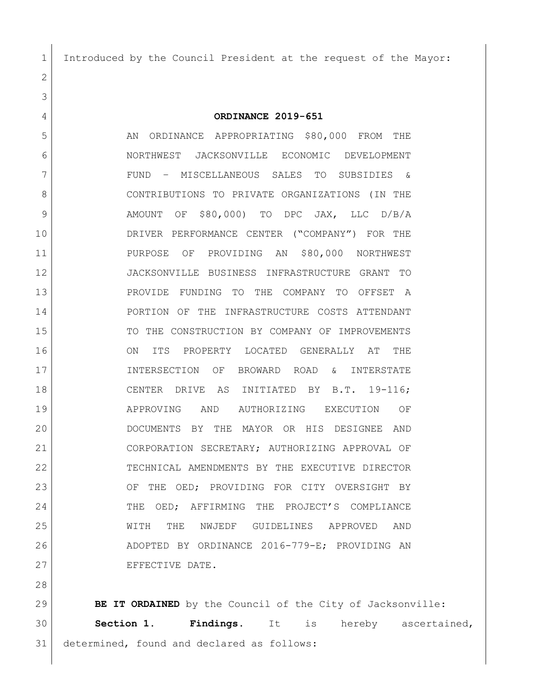Introduced by the Council President at the request of the Mayor:

 **ORDINANCE 2019-651** 5 AN ORDINANCE APPROPRIATING \$80,000 FROM THE NORTHWEST JACKSONVILLE ECONOMIC DEVELOPMENT FUND – MISCELLANEOUS SALES TO SUBSIDIES & 8 CONTRIBUTIONS TO PRIVATE ORGANIZATIONS (IN THE AMOUNT OF \$80,000) TO DPC JAX, LLC D/B/A DRIVER PERFORMANCE CENTER ("COMPANY") FOR THE PURPOSE OF PROVIDING AN \$80,000 NORTHWEST JACKSONVILLE BUSINESS INFRASTRUCTURE GRANT TO PROVIDE FUNDING TO THE COMPANY TO OFFSET A PORTION OF THE INFRASTRUCTURE COSTS ATTENDANT 15 TO THE CONSTRUCTION BY COMPANY OF IMPROVEMENTS ON ITS PROPERTY LOCATED GENERALLY AT THE INTERSECTION OF BROWARD ROAD & INTERSTATE CENTER DRIVE AS INITIATED BY B.T. 19-116; APPROVING AND AUTHORIZING EXECUTION OF DOCUMENTS BY THE MAYOR OR HIS DESIGNEE AND CORPORATION SECRETARY; AUTHORIZING APPROVAL OF TECHNICAL AMENDMENTS BY THE EXECUTIVE DIRECTOR 23 OF THE OED; PROVIDING FOR CITY OVERSIGHT BY THE OED; AFFIRMING THE PROJECT'S COMPLIANCE WITH THE NWJEDF GUIDELINES APPROVED AND ADOPTED BY ORDINANCE 2016-779-E; PROVIDING AN 27 EFFECTIVE DATE.

**BE IT ORDAINED** by the Council of the City of Jacksonville: **Section 1. Findings**. It is hereby ascertained, determined, found and declared as follows: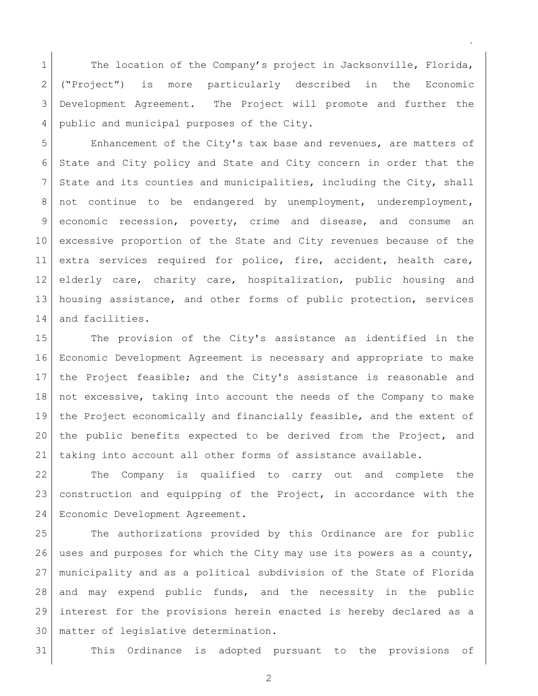1 The location of the Company's project in Jacksonville, Florida, ("Project") is more particularly described in the Economic Development Agreement. The Project will promote and further the 4 public and municipal purposes of the City.

 $\ddot{\phantom{0}}$ 

 Enhancement of the City's tax base and revenues, are matters of State and City policy and State and City concern in order that the State and its counties and municipalities, including the City, shall not continue to be endangered by unemployment, underemployment, economic recession, poverty, crime and disease, and consume an excessive proportion of the State and City revenues because of the 11 extra services required for police, fire, accident, health care, elderly care, charity care, hospitalization, public housing and housing assistance, and other forms of public protection, services 14 and facilities.

 The provision of the City's assistance as identified in the Economic Development Agreement is necessary and appropriate to make the Project feasible; and the City's assistance is reasonable and not excessive, taking into account the needs of the Company to make the Project economically and financially feasible, and the extent of the public benefits expected to be derived from the Project, and taking into account all other forms of assistance available.

 The Company is qualified to carry out and complete the construction and equipping of the Project, in accordance with the Economic Development Agreement.

 The authorizations provided by this Ordinance are for public uses and purposes for which the City may use its powers as a county, municipality and as a political subdivision of the State of Florida and may expend public funds, and the necessity in the public interest for the provisions herein enacted is hereby declared as a matter of legislative determination.

This Ordinance is adopted pursuant to the provisions of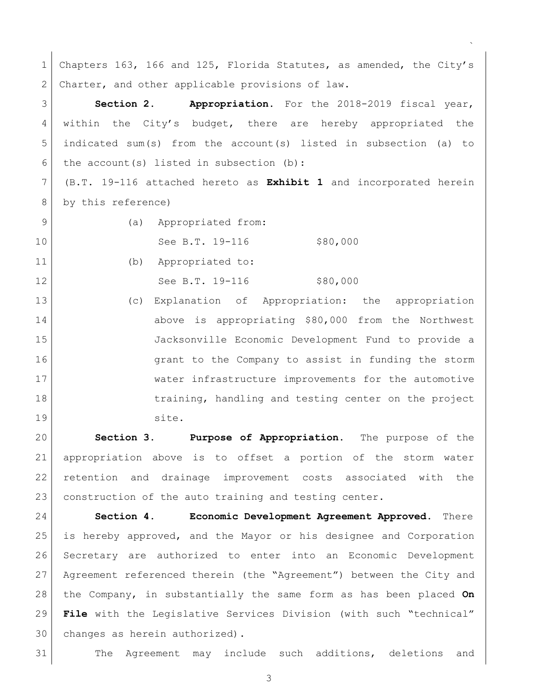Chapters 163, 166 and 125, Florida Statutes, as amended, the City's 2 Charter, and other applicable provisions of law. **Section 2. Appropriation.** For the 2018-2019 fiscal year, within the City's budget, there are hereby appropriated the indicated sum(s) from the account(s) listed in subsection (a) to 6 the account(s) listed in subsection (b): (B.T. 19-116 attached hereto as **Exhibit 1** and incorporated herein 8 by this reference) 9 (a) Appropriated from: 10 See B.T. 19-116 \$80,000 (b) Appropriated to: 12 See B.T. 19-116 \$80,000 (c) Explanation of Appropriation: the appropriation above is appropriating \$80,000 from the Northwest Jacksonville Economic Development Fund to provide a **grant to the Company to assist in funding the storm**  water infrastructure improvements for the automotive 18 18 training, handling and testing center on the project 19 site. **Section 3. Purpose of Appropriation.** The purpose of the appropriation above is to offset a portion of the storm water retention and drainage improvement costs associated with the 23 construction of the auto training and testing center. **Section 4. Economic Development Agreement Approved**. There is hereby approved, and the Mayor or his designee and Corporation

 $\ddot{\phantom{0}}$ 

 Secretary are authorized to enter into an Economic Development Agreement referenced therein (the "Agreement") between the City and the Company, in substantially the same form as has been placed **On File** with the Legislative Services Division (with such "technical" 30 changes as herein authorized).

The Agreement may include such additions, deletions and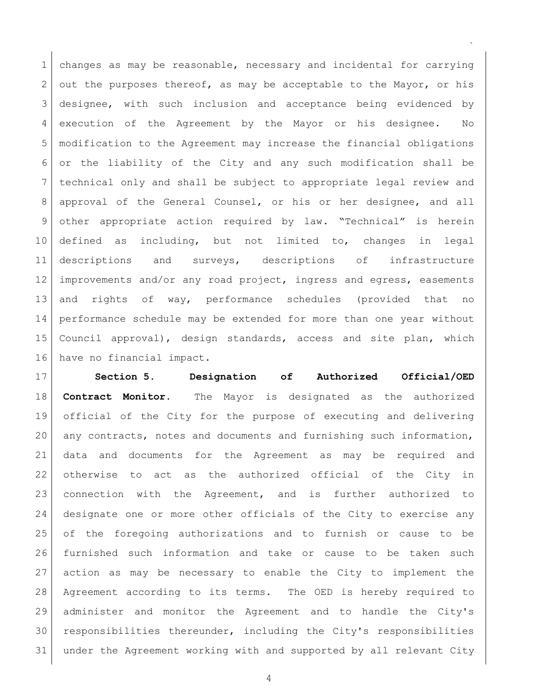changes as may be reasonable, necessary and incidental for carrying 2 out the purposes thereof, as may be acceptable to the Mayor, or his designee, with such inclusion and acceptance being evidenced by execution of the Agreement by the Mayor or his designee. No modification to the Agreement may increase the financial obligations or the liability of the City and any such modification shall be technical only and shall be subject to appropriate legal review and approval of the General Counsel, or his or her designee, and all other appropriate action required by law. "Technical" is herein defined as including, but not limited to, changes in legal descriptions and surveys, descriptions of infrastructure 12 | improvements and/or any road project, ingress and egress, easements and rights of way, performance schedules (provided that no performance schedule may be extended for more than one year without Council approval), design standards, access and site plan, which have no financial impact.

 $\ddot{\phantom{0}}$ 

 **Section 5. Designation of Authorized Official/OED Contract Monitor.** The Mayor is designated as the authorized official of the City for the purpose of executing and delivering any contracts, notes and documents and furnishing such information, data and documents for the Agreement as may be required and otherwise to act as the authorized official of the City in connection with the Agreement, and is further authorized to designate one or more other officials of the City to exercise any of the foregoing authorizations and to furnish or cause to be furnished such information and take or cause to be taken such action as may be necessary to enable the City to implement the Agreement according to its terms. The OED is hereby required to administer and monitor the Agreement and to handle the City's responsibilities thereunder, including the City's responsibilities under the Agreement working with and supported by all relevant City